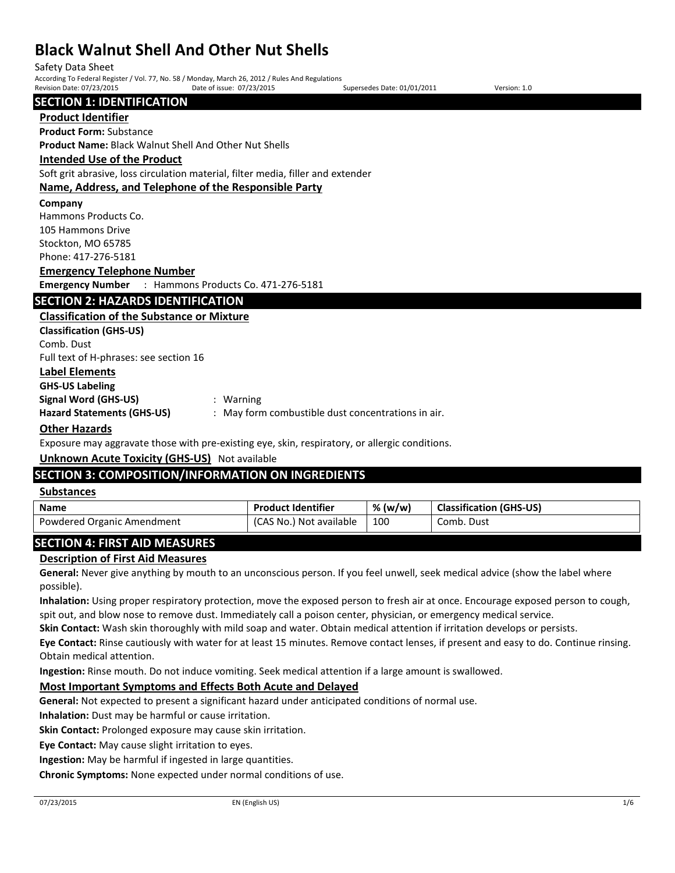| Safety Data Sheet         |                                                                                                  |                             |              |
|---------------------------|--------------------------------------------------------------------------------------------------|-----------------------------|--------------|
|                           | According To Federal Register / Vol. 77, No. 58 / Monday, March 26, 2012 / Rules And Regulations |                             |              |
| Revision Date: 07/23/2015 | Date of issue: 07/23/2015                                                                        | Supersedes Date: 01/01/2011 | Version: 1.0 |

**SECTION 1: IDENTIFICATION** 

# **Product Identifier**

**Product Form:** Substance

**Product Name:** Black Walnut Shell And Other Nut Shells

# **Intended Use of the Product**

Soft grit abrasive, loss circulation material, filter media, filler and extender

# **Name, Address, and Telephone of the Responsible Party**

## **Company**

Hammons Products Co. 105 Hammons Drive Stockton, MO 65785 Phone: 417-276-5181

## **Emergency Telephone Number**

**Emergency Number** : Hammons Products Co. 471-276-5181

# **SECTION 2: HAZARDS IDENTIFICATION**

**Classification of the Substance or Mixture Classification (GHS-US)** Comb. Dust Full text of H-phrases: see section 16 **Label Elements GHS-US Labeling Signal Word (GHS-US)** : Warning **Hazard Statements (GHS-US)** : May form combustible dust concentrations in air. **Other Hazards**

Exposure may aggravate those with pre-existing eye, skin, respiratory, or allergic conditions.

# **Unknown Acute Toxicity (GHS-US)** Not available

# **SECTION 3: COMPOSITION/INFORMATION ON INGREDIENTS**

## **Substances**

| <b>Name</b>                | <b>Product Identifier</b> | % (w/w) | <b>Classification (GHS-US)</b> |
|----------------------------|---------------------------|---------|--------------------------------|
| Powdered Organic Amendment | (CAS No.) Not available   | 100     | Comb. Dust                     |

# **SECTION 4: FIRST AID MEASURES**

# **Description of First Aid Measures**

**General:** Never give anything by mouth to an unconscious person. If you feel unwell, seek medical advice (show the label where possible).

**Inhalation:** Using proper respiratory protection, move the exposed person to fresh air at once. Encourage exposed person to cough, spit out, and blow nose to remove dust. Immediately call a poison center, physician, or emergency medical service.

**Skin Contact:** Wash skin thoroughly with mild soap and water. Obtain medical attention if irritation develops or persists.

**Eye Contact:** Rinse cautiously with water for at least 15 minutes. Remove contact lenses, if present and easy to do. Continue rinsing. Obtain medical attention.

**Ingestion:** Rinse mouth. Do not induce vomiting. Seek medical attention if a large amount is swallowed.

# **Most Important Symptoms and Effects Both Acute and Delayed**

**General:** Not expected to present a significant hazard under anticipated conditions of normal use.

**Inhalation:** Dust may be harmful or cause irritation.

**Skin Contact:** Prolonged exposure may cause skin irritation.

**Eye Contact:** May cause slight irritation to eyes.

**Ingestion:** May be harmful if ingested in large quantities.

**Chronic Symptoms:** None expected under normal conditions of use.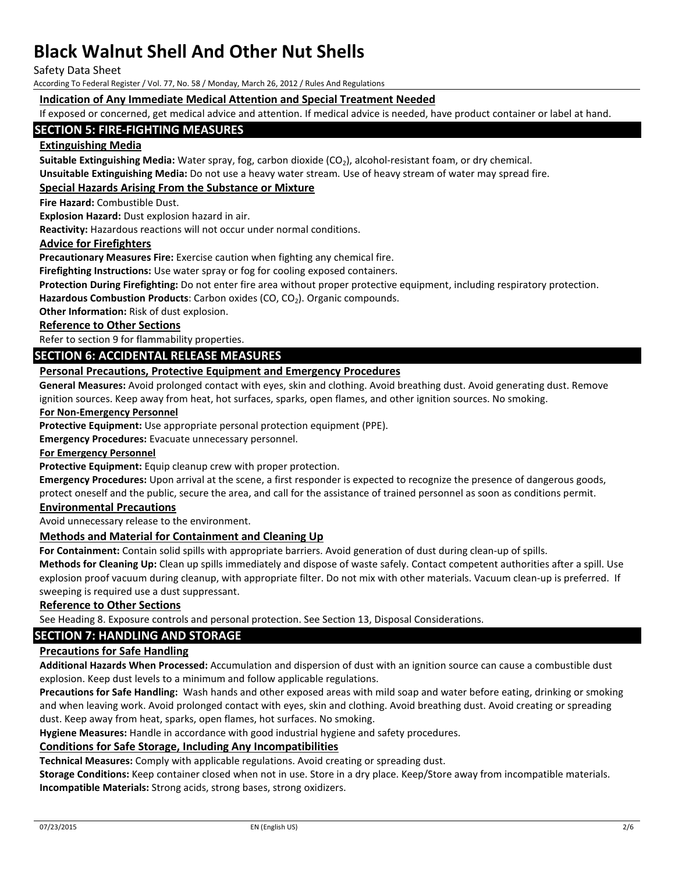Safety Data Sheet

According To Federal Register / Vol. 77, No. 58 / Monday, March 26, 2012 / Rules And Regulations

# **Indication of Any Immediate Medical Attention and Special Treatment Needed**

If exposed or concerned, get medical advice and attention. If medical advice is needed, have product container or label at hand.

# **SECTION 5: FIRE-FIGHTING MEASURES**

# **Extinguishing Media**

**Suitable Extinguishing Media:** Water spray, fog, carbon dioxide (CO<sub>2</sub>), alcohol-resistant foam, or dry chemical. **Unsuitable Extinguishing Media:** Do not use a heavy water stream. Use of heavy stream of water may spread fire.

# **Special Hazards Arising From the Substance or Mixture**

**Fire Hazard:** Combustible Dust.

**Explosion Hazard:** Dust explosion hazard in air.

**Reactivity:** Hazardous reactions will not occur under normal conditions.

## **Advice for Firefighters**

**Precautionary Measures Fire:** Exercise caution when fighting any chemical fire.

**Firefighting Instructions:** Use water spray or fog for cooling exposed containers.

**Protection During Firefighting:** Do not enter fire area without proper protective equipment, including respiratory protection.

Hazardous Combustion Products: Carbon oxides (CO, CO<sub>2</sub>). Organic compounds.

**Other Information:** Risk of dust explosion.

## **Reference to Other Sections**

Refer to section 9 for flammability properties.

# **SECTION 6: ACCIDENTAL RELEASE MEASURES**

# **Personal Precautions, Protective Equipment and Emergency Procedures**

**General Measures:** Avoid prolonged contact with eyes, skin and clothing. Avoid breathing dust. Avoid generating dust. Remove ignition sources. Keep away from heat, hot surfaces, sparks, open flames, and other ignition sources. No smoking.

### **For Non-Emergency Personnel**

**Protective Equipment:** Use appropriate personal protection equipment (PPE).

**Emergency Procedures:** Evacuate unnecessary personnel.

### **For Emergency Personnel**

Protective Equipment: Equip cleanup crew with proper protection.

**Emergency Procedures:** Upon arrival at the scene, a first responder is expected to recognize the presence of dangerous goods, protect oneself and the public, secure the area, and call for the assistance of trained personnel as soon as conditions permit.

# **Environmental Precautions**

Avoid unnecessary release to the environment.

# **Methods and Material for Containment and Cleaning Up**

**For Containment:** Contain solid spills with appropriate barriers. Avoid generation of dust during clean-up of spills.

**Methods for Cleaning Up:** Clean up spills immediately and dispose of waste safely. Contact competent authorities after a spill. Use explosion proof vacuum during cleanup, with appropriate filter. Do not mix with other materials. Vacuum clean-up is preferred. If sweeping is required use a dust suppressant.

### **Reference to Other Sections**

See Heading 8. Exposure controls and personal protection. See Section 13, Disposal Considerations.

# **SECTION 7: HANDLING AND STORAGE**

## **Precautions for Safe Handling**

**Additional Hazards When Processed:** Accumulation and dispersion of dust with an ignition source can cause a combustible dust explosion. Keep dust levels to a minimum and follow applicable regulations.

**Precautions for Safe Handling:** Wash hands and other exposed areas with mild soap and water before eating, drinking or smoking and when leaving work. Avoid prolonged contact with eyes, skin and clothing. Avoid breathing dust. Avoid creating or spreading dust. Keep away from heat, sparks, open flames, hot surfaces. No smoking.

**Hygiene Measures:** Handle in accordance with good industrial hygiene and safety procedures.

# **Conditions for Safe Storage, Including Any Incompatibilities**

**Technical Measures:** Comply with applicable regulations. Avoid creating or spreading dust.

**Storage Conditions:** Keep container closed when not in use. Store in a dry place. Keep/Store away from incompatible materials. **Incompatible Materials:** Strong acids, strong bases, strong oxidizers.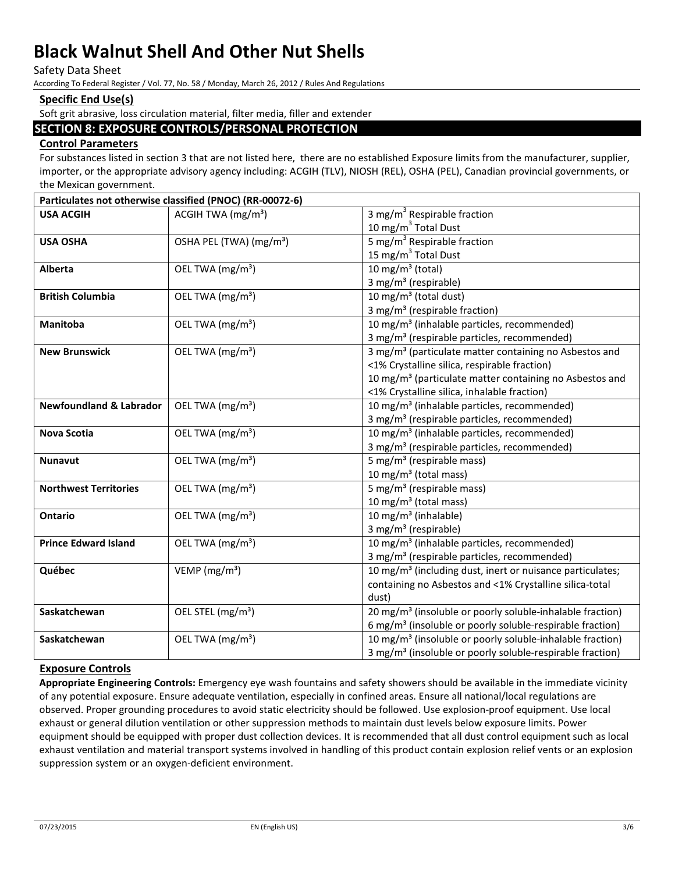Safety Data Sheet

According To Federal Register / Vol. 77, No. 58 / Monday, March 26, 2012 / Rules And Regulations

# **Specific End Use(s)**

Soft grit abrasive, loss circulation material, filter media, filler and extender

# **SECTION 8: EXPOSURE CONTROLS/PERSONAL PROTECTION**

# **Control Parameters**

For substances listed in section 3 that are not listed here, there are no established Exposure limits from the manufacturer, supplier, importer, or the appropriate advisory agency including: ACGIH (TLV), NIOSH (REL), OSHA (PEL), Canadian provincial governments, or the Mexican government.

|                                    | Particulates not otherwise classified (PNOC) (RR-00072-6) |                                                                       |
|------------------------------------|-----------------------------------------------------------|-----------------------------------------------------------------------|
| <b>USA ACGIH</b>                   | ACGIH TWA (mg/m <sup>3</sup> )                            | 3 mg/m <sup>3</sup> Respirable fraction                               |
|                                    |                                                           | 10 mg/m <sup>3</sup> Total Dust                                       |
| <b>USA OSHA</b>                    | OSHA PEL (TWA) (mg/m <sup>3</sup> )                       | 5 mg/m <sup>3</sup> Respirable fraction                               |
|                                    |                                                           | 15 mg/m <sup>3</sup> Total Dust                                       |
| <b>Alberta</b>                     | OEL TWA (mg/m <sup>3</sup> )                              | 10 mg/m <sup>3</sup> (total)                                          |
|                                    |                                                           | 3 mg/m <sup>3</sup> (respirable)                                      |
| <b>British Columbia</b>            | OEL TWA (mg/m <sup>3</sup> )                              | 10 mg/m <sup>3</sup> (total dust)                                     |
|                                    |                                                           | 3 mg/m <sup>3</sup> (respirable fraction)                             |
| Manitoba                           | OEL TWA (mg/m <sup>3</sup> )                              | 10 mg/m <sup>3</sup> (inhalable particles, recommended)               |
|                                    |                                                           | 3 mg/m <sup>3</sup> (respirable particles, recommended)               |
| <b>New Brunswick</b>               | OEL TWA (mg/m <sup>3</sup> )                              | 3 mg/m <sup>3</sup> (particulate matter containing no Asbestos and    |
|                                    |                                                           | <1% Crystalline silica, respirable fraction)                          |
|                                    |                                                           | 10 mg/m <sup>3</sup> (particulate matter containing no Asbestos and   |
|                                    |                                                           | <1% Crystalline silica, inhalable fraction)                           |
| <b>Newfoundland &amp; Labrador</b> | OEL TWA (mg/m <sup>3</sup> )                              | 10 mg/m <sup>3</sup> (inhalable particles, recommended)               |
|                                    |                                                           | 3 mg/m <sup>3</sup> (respirable particles, recommended)               |
| <b>Nova Scotia</b>                 | OEL TWA (mg/m <sup>3</sup> )                              | 10 mg/m <sup>3</sup> (inhalable particles, recommended)               |
|                                    |                                                           | 3 mg/m <sup>3</sup> (respirable particles, recommended)               |
| <b>Nunavut</b>                     | OEL TWA (mg/m <sup>3</sup> )                              | 5 mg/m <sup>3</sup> (respirable mass)                                 |
|                                    |                                                           | 10 mg/m <sup>3</sup> (total mass)                                     |
| <b>Northwest Territories</b>       | OEL TWA (mg/m <sup>3</sup> )                              | 5 mg/m <sup>3</sup> (respirable mass)                                 |
|                                    |                                                           | 10 mg/m <sup>3</sup> (total mass)                                     |
| <b>Ontario</b>                     | OEL TWA (mg/m <sup>3</sup> )                              | 10 mg/m <sup>3</sup> (inhalable)                                      |
|                                    |                                                           | 3 mg/m <sup>3</sup> (respirable)                                      |
| <b>Prince Edward Island</b>        | OEL TWA (mg/m <sup>3</sup> )                              | 10 mg/m <sup>3</sup> (inhalable particles, recommended)               |
|                                    |                                                           | 3 mg/m <sup>3</sup> (respirable particles, recommended)               |
| Québec                             | $\overline{V}$ EMP (mg/m <sup>3</sup> )                   | 10 mg/m <sup>3</sup> (including dust, inert or nuisance particulates; |
|                                    |                                                           | containing no Asbestos and <1% Crystalline silica-total               |
|                                    |                                                           | dust)                                                                 |
| Saskatchewan                       | OEL STEL (mg/m <sup>3</sup> )                             | 20 mg/m <sup>3</sup> (insoluble or poorly soluble-inhalable fraction) |
|                                    |                                                           | 6 mg/m <sup>3</sup> (insoluble or poorly soluble-respirable fraction) |
| Saskatchewan                       | OEL TWA (mg/m <sup>3</sup> )                              | 10 mg/m <sup>3</sup> (insoluble or poorly soluble-inhalable fraction) |
|                                    |                                                           | 3 mg/m <sup>3</sup> (insoluble or poorly soluble-respirable fraction) |

### **Exposure Controls**

**Appropriate Engineering Controls:** Emergency eye wash fountains and safety showers should be available in the immediate vicinity of any potential exposure. Ensure adequate ventilation, especially in confined areas. Ensure all national/local regulations are observed. Proper grounding procedures to avoid static electricity should be followed. Use explosion-proof equipment. Use local exhaust or general dilution ventilation or other suppression methods to maintain dust levels below exposure limits. Power equipment should be equipped with proper dust collection devices. It is recommended that all dust control equipment such as local exhaust ventilation and material transport systems involved in handling of this product contain explosion relief vents or an explosion suppression system or an oxygen-deficient environment.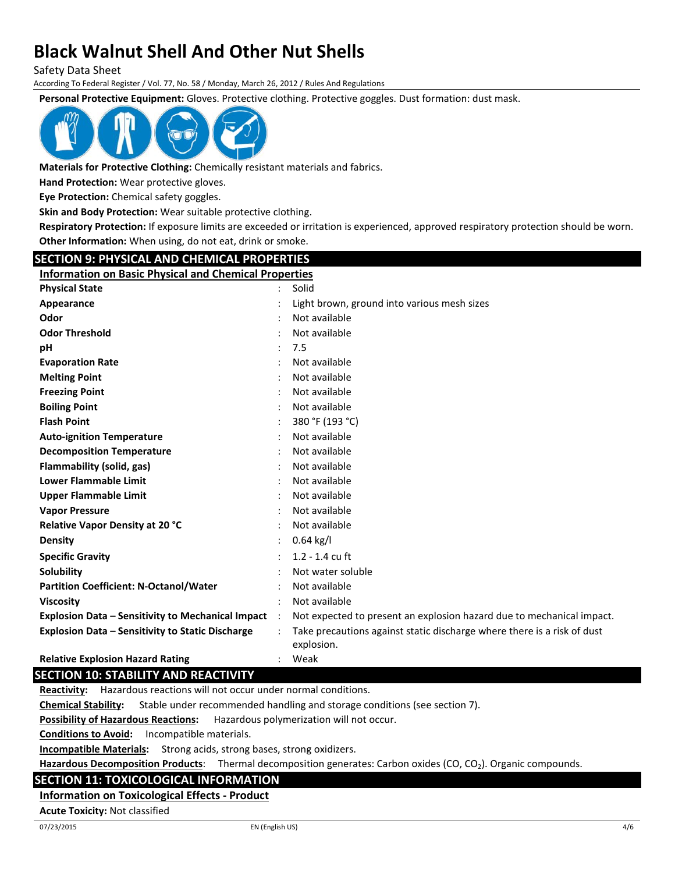Safety Data Sheet

According To Federal Register / Vol. 77, No. 58 / Monday, March 26, 2012 / Rules And Regulations

**Personal Protective Equipment:** Gloves. Protective clothing. Protective goggles. Dust formation: dust mask.



**Materials for Protective Clothing:** Chemically resistant materials and fabrics.

**Hand Protection:** Wear protective gloves.

**Eye Protection:** Chemical safety goggles.

**Skin and Body Protection:** Wear suitable protective clothing.

**Respiratory Protection:** If exposure limits are exceeded or irritation is experienced, approved respiratory protection should be worn. **Other Information:** When using, do not eat, drink or smoke.

# **SECTION 9: PHYSICAL AND CHEMICAL PROPERTIES**

**Information on Basic Physical and Chemical Properties**

| וווסוווומנוסוו סור טמאוכ רווקאנטו מווט כווכוווונטר רוסףכו נוכא |           |                                                                                       |
|----------------------------------------------------------------|-----------|---------------------------------------------------------------------------------------|
| <b>Physical State</b>                                          |           | Solid                                                                                 |
| Appearance                                                     |           | Light brown, ground into various mesh sizes                                           |
| Odor                                                           |           | Not available                                                                         |
| <b>Odor Threshold</b>                                          |           | Not available                                                                         |
| рH                                                             |           | 7.5                                                                                   |
| <b>Evaporation Rate</b>                                        |           | Not available                                                                         |
| <b>Melting Point</b>                                           |           | Not available                                                                         |
| <b>Freezing Point</b>                                          |           | Not available                                                                         |
| <b>Boiling Point</b>                                           |           | Not available                                                                         |
| <b>Flash Point</b>                                             |           | 380 °F (193 °C)                                                                       |
| <b>Auto-ignition Temperature</b>                               |           | Not available                                                                         |
| <b>Decomposition Temperature</b>                               |           | Not available                                                                         |
| Flammability (solid, gas)                                      |           | Not available                                                                         |
| <b>Lower Flammable Limit</b>                                   |           | Not available                                                                         |
| <b>Upper Flammable Limit</b>                                   |           | Not available                                                                         |
| <b>Vapor Pressure</b>                                          |           | Not available                                                                         |
| Relative Vapor Density at 20 °C                                |           | Not available                                                                         |
| <b>Density</b>                                                 |           | $0.64$ kg/l                                                                           |
| <b>Specific Gravity</b>                                        |           | $1.2 - 1.4$ cu ft                                                                     |
| <b>Solubility</b>                                              |           | Not water soluble                                                                     |
| <b>Partition Coefficient: N-Octanol/Water</b>                  |           | Not available                                                                         |
| <b>Viscosity</b>                                               |           | Not available                                                                         |
| <b>Explosion Data - Sensitivity to Mechanical Impact</b>       | $\cdot$ : | Not expected to present an explosion hazard due to mechanical impact.                 |
| <b>Explosion Data - Sensitivity to Static Discharge</b>        |           | Take precautions against static discharge where there is a risk of dust<br>explosion. |
| <b>Relative Explosion Hazard Rating</b>                        |           | Weak                                                                                  |

# **SECTION 10: STABILITY AND REACTIVITY**

**Reactivity:** Hazardous reactions will not occur under normal conditions.

**Chemical Stability:** Stable under recommended handling and storage conditions (see section 7).

**Possibility of Hazardous Reactions:** Hazardous polymerization will not occur.

**Conditions to Avoid:** Incompatible materials.

**Incompatible Materials:** Strong acids, strong bases, strong oxidizers.

Hazardous Decomposition Products: Thermal decomposition generates: Carbon oxides (CO, CO<sub>2</sub>). Organic compounds.

# **SECTION 11: TOXICOLOGICAL INFORMATION**

# **Information on Toxicological Effects - Product**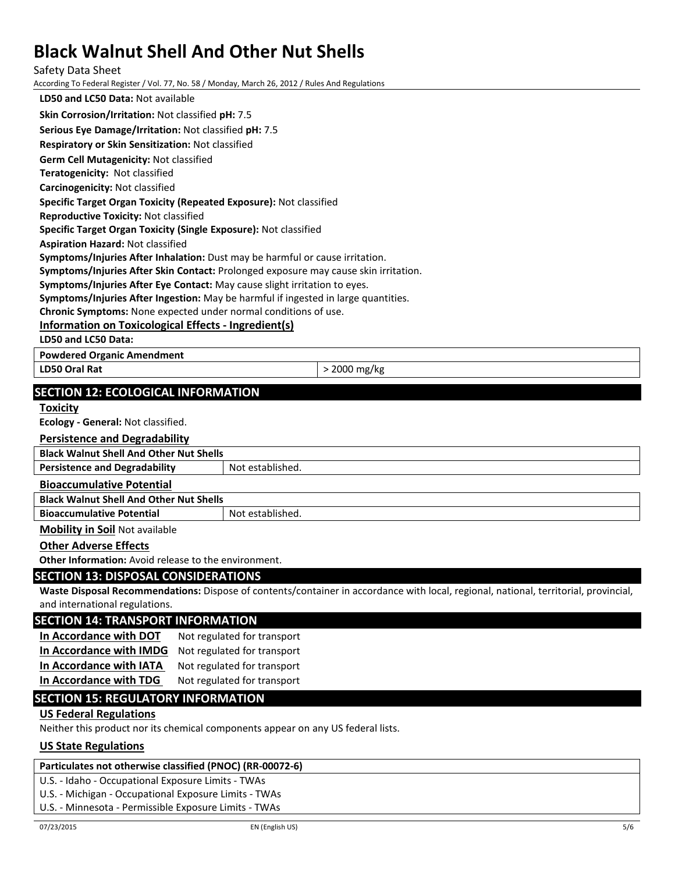#### Safety Data Sheet

According To Federal Register / Vol. 77, No. 58 / Monday, March 26, 2012 / Rules And Regulations

**LD50 and LC50 Data:** Not available **Skin Corrosion/Irritation:** Not classified **pH:** 7.5 **Serious Eye Damage/Irritation:** Not classified **pH:** 7.5 **Respiratory or Skin Sensitization:** Not classified **Germ Cell Mutagenicity:** Not classified **Teratogenicity:** Not classified **Carcinogenicity:** Not classified **Specific Target Organ Toxicity (Repeated Exposure):** Not classified **Reproductive Toxicity:** Not classified

**Specific Target Organ Toxicity (Single Exposure):** Not classified

**Aspiration Hazard:** Not classified

**Symptoms/Injuries After Inhalation:** Dust may be harmful or cause irritation.

**Symptoms/Injuries After Skin Contact:** Prolonged exposure may cause skin irritation.

**Symptoms/Injuries After Eye Contact:** May cause slight irritation to eyes.

**Symptoms/Injuries After Ingestion:** May be harmful if ingested in large quantities.

**Chronic Symptoms:** None expected under normal conditions of use.

# **Information on Toxicological Effects - Ingredient(s)**

**LD50 and LC50 Data:**

**Powdered Organic Amendment**

**LD50 Oral Rat**  $>$  2000 mg/kg

# **SECTION 12: ECOLOGICAL INFORMATION**

### **Toxicity**

**Ecology - General:** Not classified.

# **Persistence and Degradability**

**Black Walnut Shell And Other Nut Shells**

**Persistence and Degradability** Not established.

## **Bioaccumulative Potential**

**Black Walnut Shell And Other Nut Shells**

**Bioaccumulative Potential Fig. 2016** Not established.

## **Mobility in Soil** Not available

# **Other Adverse Effects**

**Other Information:** Avoid release to the environment.

### **SECTION 13: DISPOSAL CONSIDERATIONS**

**Waste Disposal Recommendations:** Dispose of contents/container in accordance with local, regional, national, territorial, provincial, and international regulations.

# **SECTION 14: TRANSPORT INFORMATION**

**In Accordance with DOT** Not regulated for transport **In Accordance with IMDG** Not regulated for transport In Accordance with IATA Not regulated for transport

**In Accordance with TDG** Not regulated for transport

# **SECTION 15: REGULATORY INFORMATION**

# **US Federal Regulations**

Neither this product nor its chemical components appear on any US federal lists.

# **US State Regulations**

# **Particulates not otherwise classified (PNOC) (RR-00072-6)**

U.S. - Idaho - Occupational Exposure Limits - TWAs

U.S. - Michigan - Occupational Exposure Limits - TWAs

U.S. - Minnesota - Permissible Exposure Limits - TWAs